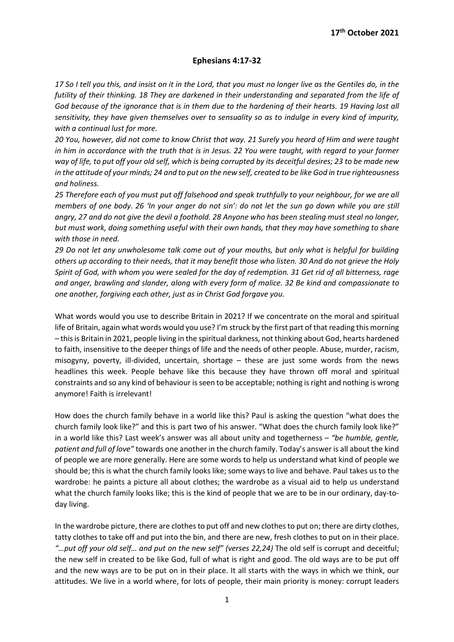## Ephesians 4:17-32

17 So I tell you this, and insist on it in the Lord, that you must no longer live as the Gentiles do, in the futility of their thinking. 18 They are darkened in their understanding and separated from the life of God because of the ignorance that is in them due to the hardening of their hearts. 19 Having lost all sensitivity, they have given themselves over to sensuality so as to indulge in every kind of impurity, with a continual lust for more.

20 You, however, did not come to know Christ that way. 21 Surely you heard of Him and were taught in him in accordance with the truth that is in Jesus. 22 You were taught, with regard to your former way of life, to put off your old self, which is being corrupted by its deceitful desires; 23 to be made new in the attitude of your minds; 24 and to put on the new self, created to be like God in true righteousness and holiness.

25 Therefore each of you must put off falsehood and speak truthfully to your neighbour, for we are all members of one body. 26 'In your anger do not sin': do not let the sun go down while you are still angry, 27 and do not give the devil a foothold. 28 Anyone who has been stealing must steal no longer, but must work, doing something useful with their own hands, that they may have something to share with those in need.

29 Do not let any unwholesome talk come out of your mouths, but only what is helpful for building others up according to their needs, that it may benefit those who listen. 30 And do not grieve the Holy Spirit of God, with whom you were sealed for the day of redemption. 31 Get rid of all bitterness, rage and anger, brawling and slander, along with every form of malice. 32 Be kind and compassionate to one another, forgiving each other, just as in Christ God forgave you.

What words would you use to describe Britain in 2021? If we concentrate on the moral and spiritual life of Britain, again what words would you use? I'm struck by the first part of that reading this morning – this is Britain in 2021, people living in the spiritual darkness, not thinking about God, hearts hardened to faith, insensitive to the deeper things of life and the needs of other people. Abuse, murder, racism, misogyny, poverty, ill-divided, uncertain, shortage – these are just some words from the news headlines this week. People behave like this because they have thrown off moral and spiritual constraints and so any kind of behaviour is seen to be acceptable; nothing is right and nothing is wrong anymore! Faith is irrelevant!

How does the church family behave in a world like this? Paul is asking the question "what does the church family look like?" and this is part two of his answer. "What does the church family look like?" in a world like this? Last week's answer was all about unity and togetherness  $-$  "be humble, gentle, patient and full of love" towards one another in the church family. Today's answer is all about the kind of people we are more generally. Here are some words to help us understand what kind of people we should be; this is what the church family looks like; some ways to live and behave. Paul takes us to the wardrobe: he paints a picture all about clothes; the wardrobe as a visual aid to help us understand what the church family looks like; this is the kind of people that we are to be in our ordinary, day-today living.

In the wardrobe picture, there are clothes to put off and new clothes to put on; there are dirty clothes, tatty clothes to take off and put into the bin, and there are new, fresh clothes to put on in their place. "…put off your old self… and put on the new self" (verses 22,24) The old self is corrupt and deceitful; the new self in created to be like God, full of what is right and good. The old ways are to be put off and the new ways are to be put on in their place. It all starts with the ways in which we think, our attitudes. We live in a world where, for lots of people, their main priority is money: corrupt leaders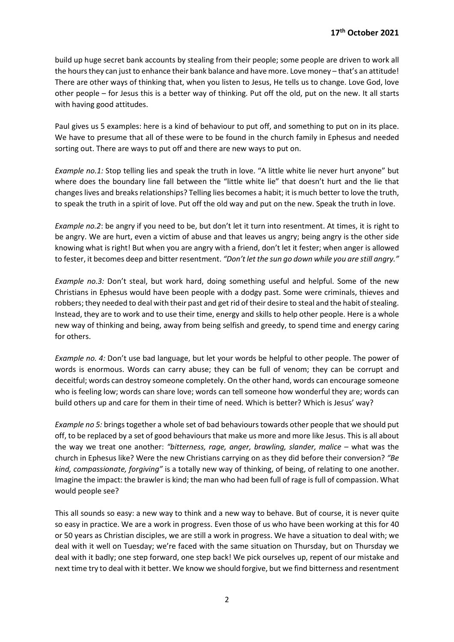build up huge secret bank accounts by stealing from their people; some people are driven to work all the hours they can just to enhance their bank balance and have more. Love money – that's an attitude! There are other ways of thinking that, when you listen to Jesus, He tells us to change. Love God, love other people – for Jesus this is a better way of thinking. Put off the old, put on the new. It all starts with having good attitudes.

Paul gives us 5 examples: here is a kind of behaviour to put off, and something to put on in its place. We have to presume that all of these were to be found in the church family in Ephesus and needed sorting out. There are ways to put off and there are new ways to put on.

Example no.1: Stop telling lies and speak the truth in love. "A little white lie never hurt anyone" but where does the boundary line fall between the "little white lie" that doesn't hurt and the lie that changes lives and breaks relationships? Telling lies becomes a habit; it is much better to love the truth, to speak the truth in a spirit of love. Put off the old way and put on the new. Speak the truth in love.

Example no.2: be angry if you need to be, but don't let it turn into resentment. At times, it is right to be angry. We are hurt, even a victim of abuse and that leaves us angry; being angry is the other side knowing what is right! But when you are angry with a friend, don't let it fester; when anger is allowed to fester, it becomes deep and bitter resentment. "Don't let the sun go down while you are still angry."

Example no.3: Don't steal, but work hard, doing something useful and helpful. Some of the new Christians in Ephesus would have been people with a dodgy past. Some were criminals, thieves and robbers; they needed to deal with their past and get rid of their desire to steal and the habit of stealing. Instead, they are to work and to use their time, energy and skills to help other people. Here is a whole new way of thinking and being, away from being selfish and greedy, to spend time and energy caring for others.

Example no. 4: Don't use bad language, but let your words be helpful to other people. The power of words is enormous. Words can carry abuse; they can be full of venom; they can be corrupt and deceitful; words can destroy someone completely. On the other hand, words can encourage someone who is feeling low; words can share love; words can tell someone how wonderful they are; words can build others up and care for them in their time of need. Which is better? Which is Jesus' way?

Example no 5: brings together a whole set of bad behaviours towards other people that we should put off, to be replaced by a set of good behaviours that make us more and more like Jesus. This is all about the way we treat one another: "bitterness, rage, anger, brawling, slander, malice – what was the church in Ephesus like? Were the new Christians carrying on as they did before their conversion? "Be kind, compassionate, forgiving" is a totally new way of thinking, of being, of relating to one another. Imagine the impact: the brawler is kind; the man who had been full of rage is full of compassion. What would people see?

This all sounds so easy: a new way to think and a new way to behave. But of course, it is never quite so easy in practice. We are a work in progress. Even those of us who have been working at this for 40 or 50 years as Christian disciples, we are still a work in progress. We have a situation to deal with; we deal with it well on Tuesday; we're faced with the same situation on Thursday, but on Thursday we deal with it badly; one step forward, one step back! We pick ourselves up, repent of our mistake and next time try to deal with it better. We know we should forgive, but we find bitterness and resentment